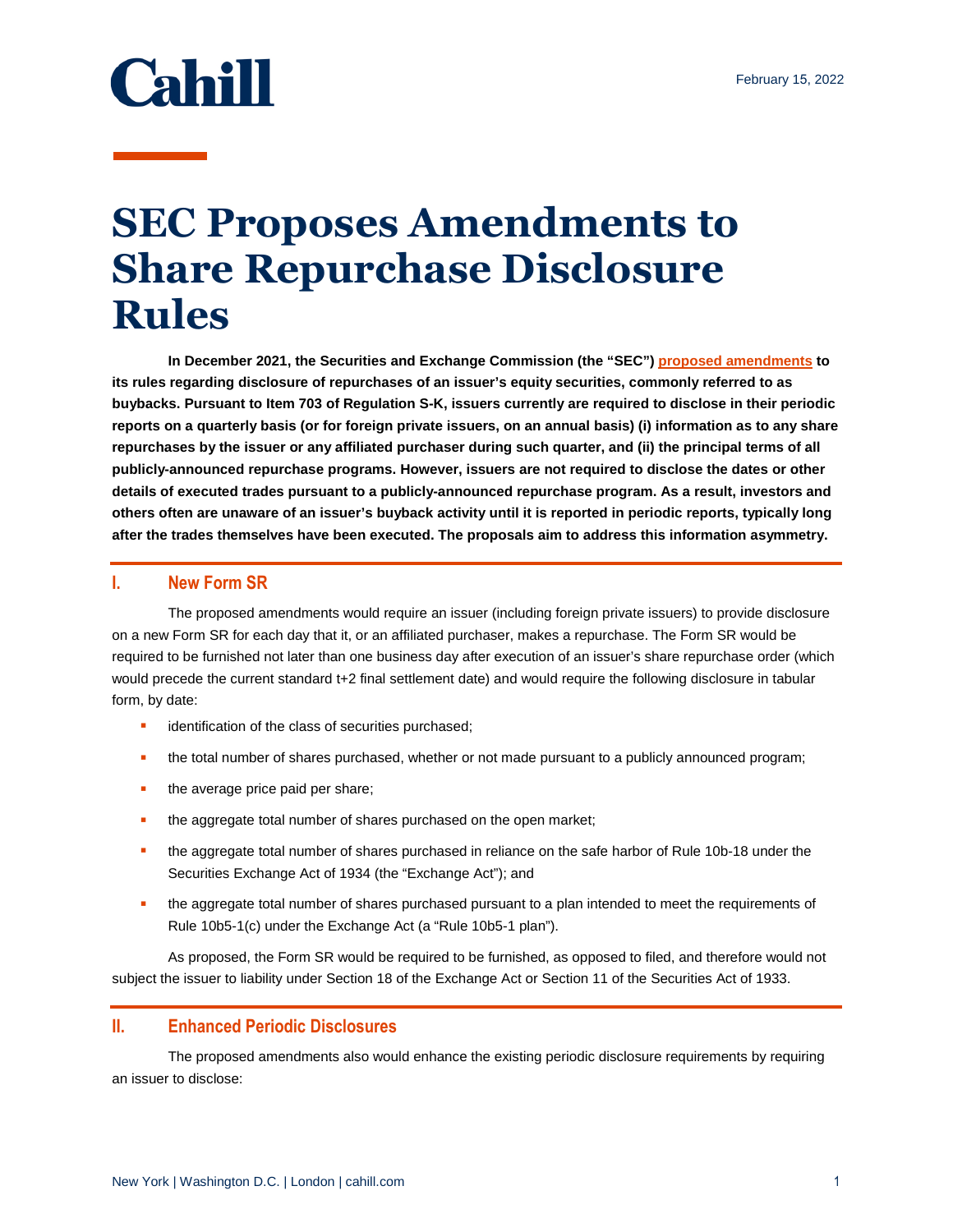

## **SEC Proposes Amendments to Share Repurchase Disclosure Rules**

**In December 2021, the Securities and Exchange Commission (the "SEC") [proposed amendments](https://www.sec.gov/rules/proposed/2021/34-93783.pdf) to its rules regarding disclosure of repurchases of an issuer's equity securities, commonly referred to as buybacks. Pursuant to Item 703 of Regulation S-K, issuers currently are required to disclose in their periodic reports on a quarterly basis (or for foreign private issuers, on an annual basis) (i) information as to any share repurchases by the issuer or any affiliated purchaser during such quarter, and (ii) the principal terms of all publicly-announced repurchase programs. However, issuers are not required to disclose the dates or other details of executed trades pursuant to a publicly-announced repurchase program. As a result, investors and others often are unaware of an issuer's buyback activity until it is reported in periodic reports, typically long after the trades themselves have been executed. The proposals aim to address this information asymmetry.** 

## **I. New Form SR**

The proposed amendments would require an issuer (including foreign private issuers) to provide disclosure on a new Form SR for each day that it, or an affiliated purchaser, makes a repurchase. The Form SR would be required to be furnished not later than one business day after execution of an issuer's share repurchase order (which would precede the current standard t+2 final settlement date) and would require the following disclosure in tabular form, by date:

- **identification of the class of securities purchased;**
- **the total number of shares purchased, whether or not made pursuant to a publicly announced program;**
- the average price paid per share;
- the aggregate total number of shares purchased on the open market;
- **the aggregate total number of shares purchased in reliance on the safe harbor of Rule 10b-18 under the** Securities Exchange Act of 1934 (the "Exchange Act"); and
- **the aggregate total number of shares purchased pursuant to a plan intended to meet the requirements of** Rule 10b5-1(c) under the Exchange Act (a "Rule 10b5-1 plan").

As proposed, the Form SR would be required to be furnished, as opposed to filed, and therefore would not subject the issuer to liability under Section 18 of the Exchange Act or Section 11 of the Securities Act of 1933.

## **II. Enhanced Periodic Disclosures**

The proposed amendments also would enhance the existing periodic disclosure requirements by requiring an issuer to disclose: